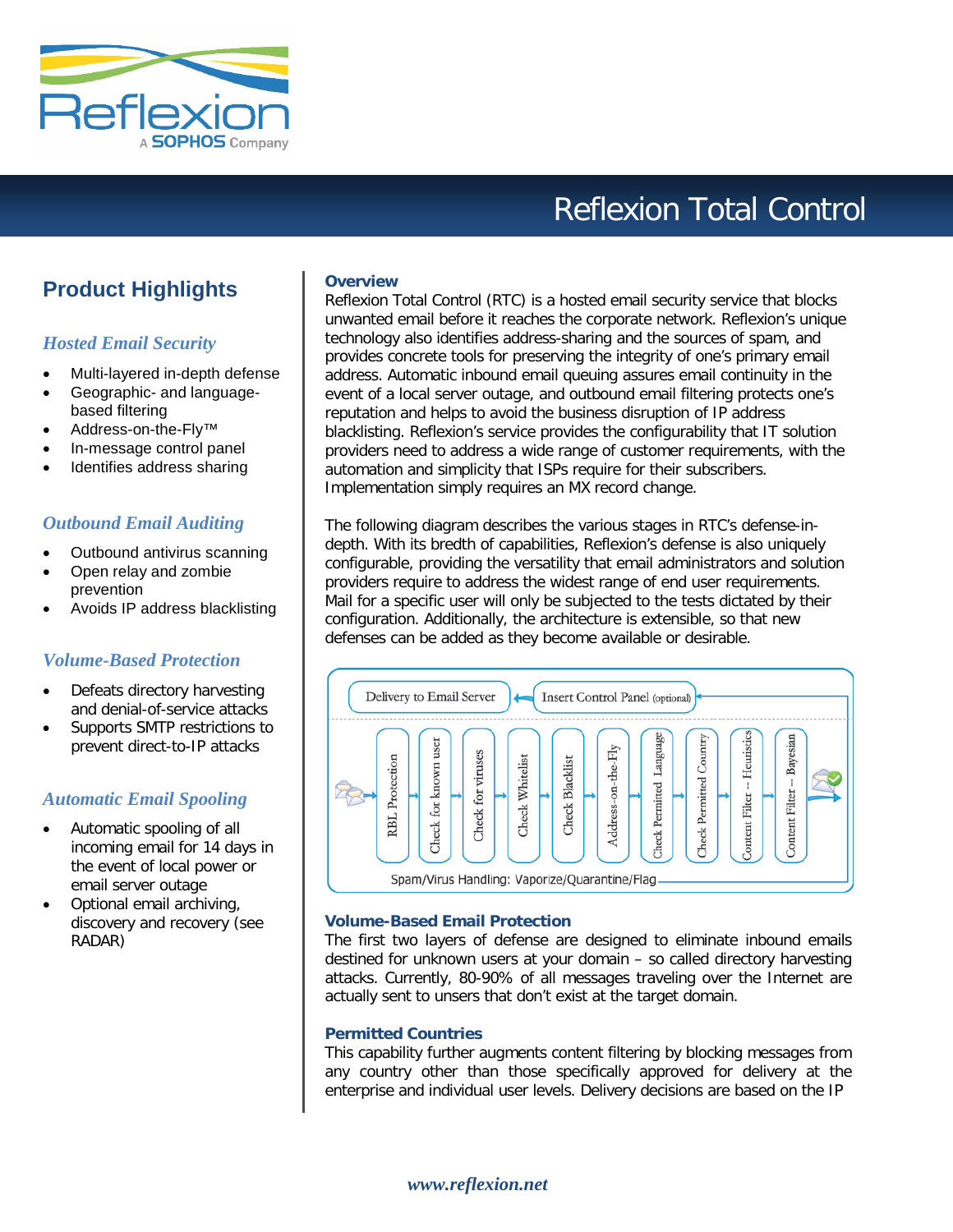

# Reflexion Total Control

# **Product Highlights**

# *Hosted Email Security*

- Multi-layered in-depth defense
- Geographic- and languagebased filtering
- Address-on-the-Fly™
- In-message control panel
- Identifies address sharing

## *Outbound Email Auditing*

- Outbound antivirus scanning
- Open relay and zombie prevention
- Avoids IP address blacklisting

## *Volume-Based Protection*

- Defeats directory harvesting and denial-of-service attacks
- Supports SMTP restrictions to prevent direct-to-IP attacks

# *Automatic Email Spooling*

- Automatic spooling of all incoming email for 14 days in the event of local power or email server outage
- Optional email archiving, discovery and recovery (see RADAR)

#### **Overview**

Reflexion Total Control (RTC) is a hosted email security service that blocks unwanted email before it reaches the corporate network. Reflexion's unique technology also identifies address-sharing and the sources of spam, and provides concrete tools for preserving the integrity of one's primary email address. Automatic inbound email queuing assures email continuity in the event of a local server outage, and outbound email filtering protects one's reputation and helps to avoid the business disruption of IP address blacklisting. Reflexion's service provides the configurability that IT solution providers need to address a wide range of customer requirements, with the automation and simplicity that ISPs require for their subscribers. Implementation simply requires an MX record change.

The following diagram describes the various stages in RTC's defense-indepth. With its bredth of capabilities, Reflexion's defense is also uniquely configurable, providing the versatility that email administrators and solution providers require to address the widest range of end user requirements. Mail for a specific user will only be subjected to the tests dictated by their configuration. Additionally, the architecture is extensible, so that new defenses can be added as they become available or desirable.



#### **Volume-Based Email Protection**

The first two layers of defense are designed to eliminate inbound emails destined for unknown users at your domain – so called directory harvesting attacks. Currently, 80-90% of all messages traveling over the Internet are actually sent to unsers that don't exist at the target domain.

#### **Permitted Countries**

This capability further augments content filtering by blocking messages from any country other than those specifically approved for delivery at the enterprise and individual user levels. Delivery decisions are based on the IP

*www.reflexion.net*